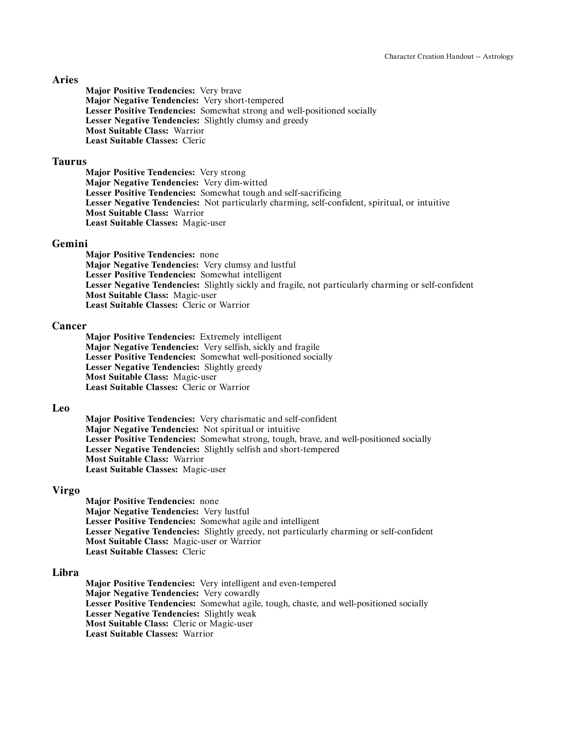## **Aries**

**Major Positive Tendencies:** Very brave **Major Negative Tendencies:** Very short-tempered **Lesser Positive Tendencies:** Somewhat strong and well-positioned socially **Lesser Negative Tendencies:** Slightly clumsy and greedy **Most Suitable Class:** Warrior **Least Suitable Classes:** Cleric

### **Taurus**

**Major Positive Tendencies:** Very strong **Major Negative Tendencies:** Very dim-witted **Lesser Positive Tendencies:** Somewhat tough and self-sacrificing **Lesser Negative Tendencies:** Not particularly charming, self-confident, spiritual, or intuitive **Most Suitable Class:** Warrior **Least Suitable Classes:** Magic-user

#### **Gemini**

**Major Positive Tendencies:** none **Major Negative Tendencies:** Very clumsy and lustful **Lesser Positive Tendencies:** Somewhat intelligent **Lesser Negative Tendencies:** Slightly sickly and fragile, not particularly charming or self-confident **Most Suitable Class:** Magic-user **Least Suitable Classes:** Cleric or Warrior

### **Cancer**

**Major Positive Tendencies:** Extremely intelligent **Major Negative Tendencies:** Very selfish, sickly and fragile **Lesser Positive Tendencies:** Somewhat well-positioned socially **Lesser Negative Tendencies:** Slightly greedy **Most Suitable Class:** Magic-user **Least Suitable Classes:** Cleric or Warrior

#### **Leo**

**Major Positive Tendencies:** Very charismatic and self-confident **Major Negative Tendencies:** Not spiritual or intuitive **Lesser Positive Tendencies:** Somewhat strong, tough, brave, and well-positioned socially **Lesser Negative Tendencies:** Slightly selfish and short-tempered **Most Suitable Class:** Warrior **Least Suitable Classes:** Magic-user

### **Virgo**

**Major Positive Tendencies:** none **Major Negative Tendencies:** Very lustful **Lesser Positive Tendencies:** Somewhat agile and intelligent **Lesser Negative Tendencies:** Slightly greedy, not particularly charming or self-confident **Most Suitable Class:** Magic-user or Warrior **Least Suitable Classes:** Cleric

## **Libra**

**Major Positive Tendencies:** Very intelligent and even-tempered **Major Negative Tendencies:** Very cowardly **Lesser Positive Tendencies:** Somewhat agile, tough, chaste, and well-positioned socially **Lesser Negative Tendencies:** Slightly weak **Most Suitable Class:** Cleric or Magic-user **Least Suitable Classes:** Warrior